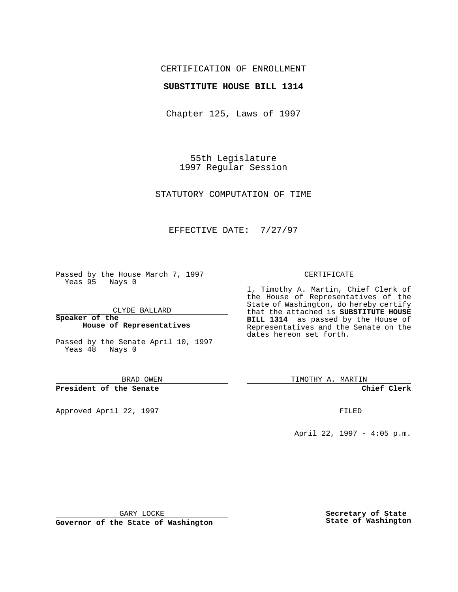## CERTIFICATION OF ENROLLMENT

## **SUBSTITUTE HOUSE BILL 1314**

Chapter 125, Laws of 1997

55th Legislature 1997 Regular Session

STATUTORY COMPUTATION OF TIME

## EFFECTIVE DATE: 7/27/97

Passed by the House March 7, 1997 Yeas 95 Nays 0

CLYDE BALLARD

**Speaker of the House of Representatives**

Passed by the Senate April 10, 1997 Yeas 48 Nays 0

BRAD OWEN

**President of the Senate**

Approved April 22, 1997 **FILED** 

#### CERTIFICATE

I, Timothy A. Martin, Chief Clerk of the House of Representatives of the State of Washington, do hereby certify that the attached is **SUBSTITUTE HOUSE BILL 1314** as passed by the House of Representatives and the Senate on the dates hereon set forth.

TIMOTHY A. MARTIN

**Chief Clerk**

April 22, 1997 - 4:05 p.m.

GARY LOCKE

**Governor of the State of Washington**

**Secretary of State State of Washington**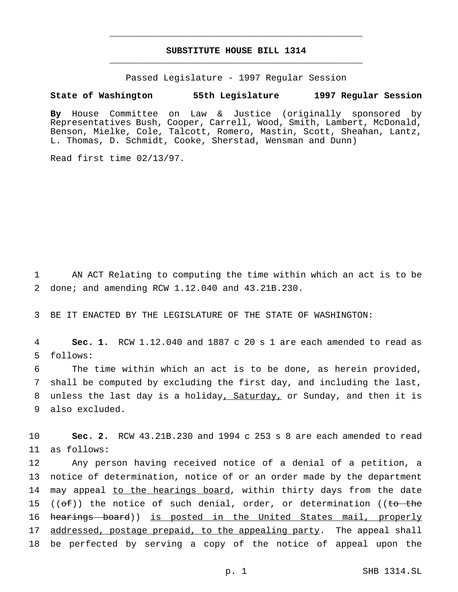# **SUBSTITUTE HOUSE BILL 1314** \_\_\_\_\_\_\_\_\_\_\_\_\_\_\_\_\_\_\_\_\_\_\_\_\_\_\_\_\_\_\_\_\_\_\_\_\_\_\_\_\_\_\_\_\_\_\_

\_\_\_\_\_\_\_\_\_\_\_\_\_\_\_\_\_\_\_\_\_\_\_\_\_\_\_\_\_\_\_\_\_\_\_\_\_\_\_\_\_\_\_\_\_\_\_

Passed Legislature - 1997 Regular Session

### **State of Washington 55th Legislature 1997 Regular Session**

**By** House Committee on Law & Justice (originally sponsored by Representatives Bush, Cooper, Carrell, Wood, Smith, Lambert, McDonald, Benson, Mielke, Cole, Talcott, Romero, Mastin, Scott, Sheahan, Lantz, L. Thomas, D. Schmidt, Cooke, Sherstad, Wensman and Dunn)

Read first time 02/13/97.

1 AN ACT Relating to computing the time within which an act is to be 2 done; and amending RCW 1.12.040 and 43.21B.230.

3 BE IT ENACTED BY THE LEGISLATURE OF THE STATE OF WASHINGTON:

4 **Sec. 1.** RCW 1.12.040 and 1887 c 20 s 1 are each amended to read as 5 follows:

 The time within which an act is to be done, as herein provided, shall be computed by excluding the first day, and including the last, unless the last day is a holiday, Saturday, or Sunday, and then it is also excluded.

10 **Sec. 2.** RCW 43.21B.230 and 1994 c 253 s 8 are each amended to read 11 as follows:

12 Any person having received notice of a denial of a petition, a 13 notice of determination, notice of or an order made by the department 14 may appeal to the hearings board, within thirty days from the date 15 (( $\sigma$ f)) the notice of such denial, order, or determination ((to the 16 hearings board)) is posted in the United States mail, properly 17 addressed, postage prepaid, to the appealing party. The appeal shall 18 be perfected by serving a copy of the notice of appeal upon the